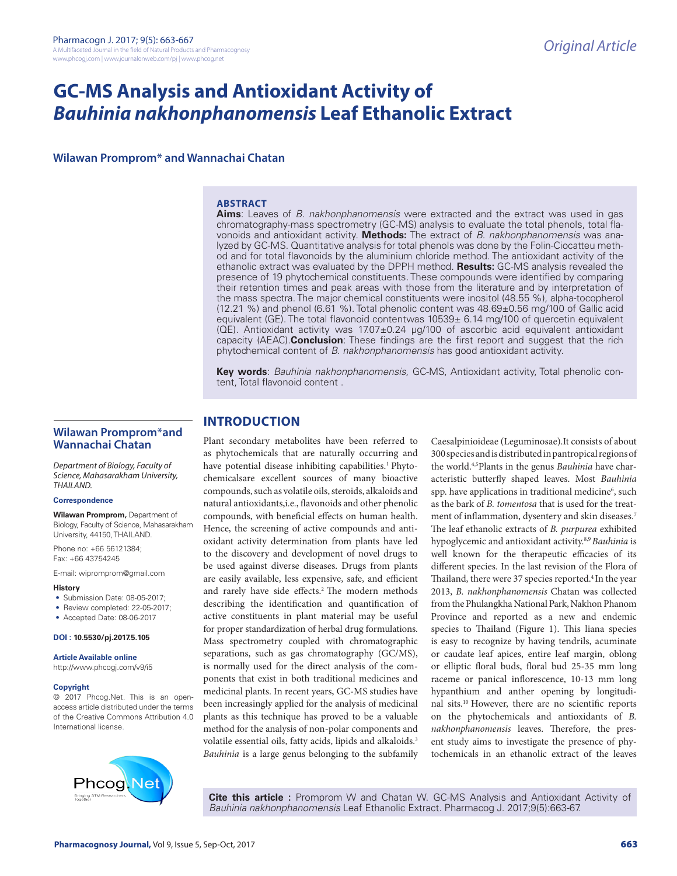# **GC-MS Analysis and Antioxidant Activity of**  *Bauhinia nakhonphanomensis* **Leaf Ethanolic Extract**

**Wilawan Promprom\* and Wannachai Chatan**

#### **ABSTRACT**

**Aims**: Leaves of *B. nakhonphanomensis* were extracted and the extract was used in gas chromatography-mass spectrometry (GC-MS) analysis to evaluate the total phenols, total flavonoids and antioxidant activity. **Methods:** The extract of *B. nakhonphanomensis* was analyzed by GC-MS. Quantitative analysis for total phenols was done by the Folin-Ciocatteu method and for total flavonoids by the aluminium chloride method. The antioxidant activity of the ethanolic extract was evaluated by the DPPH method. **Results:** GC-MS analysis revealed the presence of 19 phytochemical constituents. These compounds were identified by comparing their retention times and peak areas with those from the literature and by interpretation of the mass spectra. The major chemical constituents were inositol (48.55 %), alpha-tocopherol (12.21 %) and phenol (6.61 %). Total phenolic content was 48.69±0.56 mg/100 of Gallic acid equivalent (GE). The total flavonoid contentwas 10539± 6.14 mg/100 of quercetin equivalent (QE). Antioxidant activity was 17.07±0.24 µg/100 of ascorbic acid equivalent antioxidant capacity (AEAC).**Conclusion**: These findings are the first report and suggest that the rich phytochemical content of *B. nakhonphanomensis* has good antioxidant activity.

**Key words**: *Bauhinia nakhonphanomensis*, GC-MS, Antioxidant activity, Total phenolic content, Total flavonoid content .

# **Wilawan Promprom\*and Wannachai Chatan**

*Department of Biology, Faculty of Science, Mahasarakham University, THAILAND.*

#### **Correspondence**

**Wilawan Promprom,** Department of Biology, Faculty of Science, Mahasarakham University, 44150, THAILAND.

Phone no: +66 56121384; Fax: +66 43754245

E-mail: wipromprom@gmail.com

#### **History**

- Submission Date: 08-05-2017;
- Review completed: 22-05-2017;
- Accepted Date: 08-06-2017

#### **DOI : 10.5530/pj.2017.5.105**

**Article Available online** 

http://www.phcogj.com/v9/i5

#### **Copyright**

© 2017 Phcog.Net. This is an openaccess article distributed under the terms of the Creative Commons Attribution 4.0 International license.



# **INTRODUCTION**

Plant secondary metabolites have been referred to as phytochemicals that are naturally occurring and have potential disease inhibiting capabilities.<sup>1</sup> Phytochemicalsare excellent sources of many bioactive compounds, such as volatile oils, steroids, alkaloids and natural antioxidants,i.e., flavonoids and other phenolic compounds, with beneficial effects on human health. Hence, the screening of active compounds and antioxidant activity determination from plants have led to the discovery and development of novel drugs to be used against diverse diseases. Drugs from plants are easily available, less expensive, safe, and efficient and rarely have side effects.<sup>2</sup> The modern methods describing the identification and quantification of active constituents in plant material may be useful for proper standardization of herbal drug formulations. Mass spectrometry coupled with chromatographic separations, such as gas chromatography (GC/MS), is normally used for the direct analysis of the components that exist in both traditional medicines and medicinal plants. In recent years, GC-MS studies have been increasingly applied for the analysis of medicinal plants as this technique has proved to be a valuable method for the analysis of non-polar components and volatile essential oils, fatty acids, lipids and alkaloids.<sup>3</sup> *Bauhinia* is a large genus belonging to the subfamily

Caesalpinioideae (Leguminosae).It consists of about 300 species and is distributed in pantropical regions of the world.4,5Plants in the genus *Bauhinia* have characteristic butterfly shaped leaves. Most *Bauhinia*  spp. have applications in traditional medicine<sup>6</sup>, such as the bark of *B. tomentosa* that is used for the treatment of inflammation, dysentery and skin diseases.7 The leaf ethanolic extracts of *B. purpurea* exhibited hypoglycemic and antioxidant activity.8,9 *Bauhinia* is well known for the therapeutic efficacies of its different species. In the last revision of the Flora of Thailand, there were 37 species reported.<sup>4</sup> In the year 2013, *B. nakhonphanomensis* Chatan was collected from the Phulangkha National Park, Nakhon Phanom Province and reported as a new and endemic species to Thailand (Figure 1). This liana species is easy to recognize by having tendrils, acuminate or caudate leaf apices, entire leaf margin, oblong or elliptic floral buds, floral bud 25-35 mm long raceme or panical inflorescence, 10-13 mm long hypanthium and anther opening by longitudinal sits.10 However, there are no scientific reports on the phytochemicals and antioxidants of *B. nakhonphanomensis* leaves. Therefore, the present study aims to investigate the presence of phytochemicals in an ethanolic extract of the leaves

**Cite this article :** Promprom W and Chatan W. GC-MS Analysis and Antioxidant Activity of *Bauhinia nakhonphanomensis* Leaf Ethanolic Extract. Pharmacog J. 2017;9(5):663-67.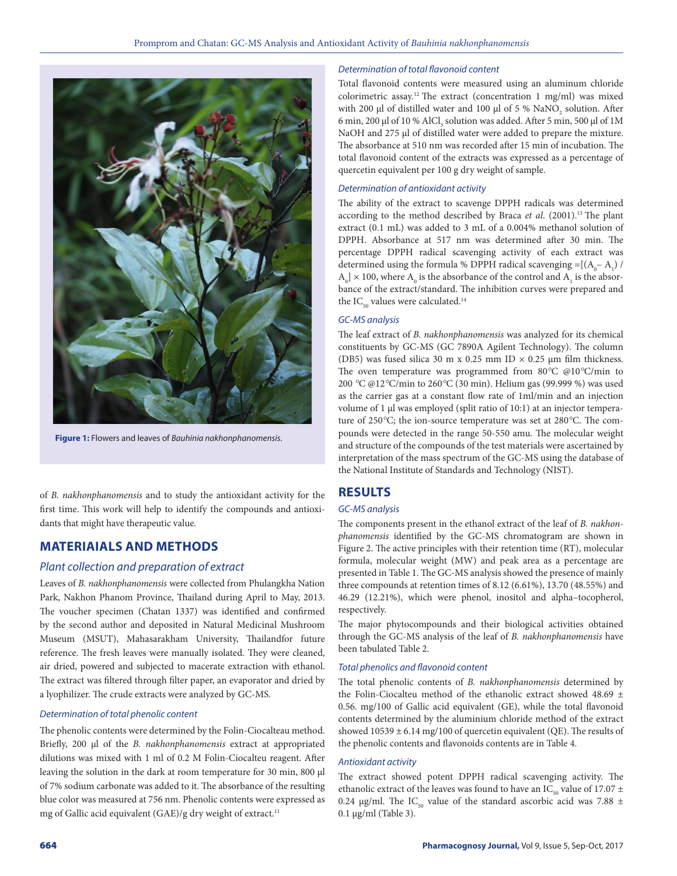

**Figure 1:** Flowers and leaves of *Bauhinia nakhonphanomensis*.

of *B. nakhonphanomensis* and to study the antioxidant activity for the first time. This work will help to identify the compounds and antioxidants that might have therapeutic value.

# **MATERIAIALS AND METHODS**

# *Plant collection and preparation of extract*

Leaves of *B. nakhonphanomensis* were collected from Phulangkha Nation Park, Nakhon Phanom Province, Thailand during April to May, 2013. The voucher specimen (Chatan 1337) was identified and confirmed by the second author and deposited in Natural Medicinal Mushroom Museum (MSUT), Mahasarakham University, Thailandfor future reference. The fresh leaves were manually isolated. They were cleaned, air dried, powered and subjected to macerate extraction with ethanol. The extract was filtered through filter paper, an evaporator and dried by a lyophilizer. The crude extracts were analyzed by GC-MS.

#### *Determination of total phenolic content*

The phenolic contents were determined by the Folin-Ciocalteau method. Briefly, 200 µl of the *B. nakhonphanomensis* extract at appropriated dilutions was mixed with 1 ml of 0.2 M Folin-Ciocalteu reagent. After leaving the solution in the dark at room temperature for 30 min, 800 µl of 7% sodium carbonate was added to it. The absorbance of the resulting blue color was measured at 756 nm. Phenolic contents were expressed as mg of Gallic acid equivalent (GAE)/g dry weight of extract.<sup>11</sup>

#### *Determination of total flavonoid content*

Total flavonoid contents were measured using an aluminum chloride colorimetric assay.12 The extract (concentration 1 mg/ml) was mixed with 200  $\mu$ l of distilled water and 100  $\mu$ l of 5 % NaNO<sub>2</sub> solution. After 6 min, 200  $\mu$ l of 10 % AlCl<sub>3</sub> solution was added. After 5 min, 500  $\mu$ l of 1M NaOH and 275 µl of distilled water were added to prepare the mixture. The absorbance at 510 nm was recorded after 15 min of incubation. The total flavonoid content of the extracts was expressed as a percentage of quercetin equivalent per 100 g dry weight of sample.

#### *Determination of antioxidant activity*

The ability of the extract to scavenge DPPH radicals was determined according to the method described by Braca *et al*. (2001).13 The plant extract (0.1 mL) was added to 3 mL of a 0.004% methanol solution of DPPH. Absorbance at 517 nm was determined after 30 min. The percentage DPPH radical scavenging activity of each extract was determined using the formula % DPPH radical scavenging =[( $A_0 - A_1$ ) /  $\rm A_{0}$ ]  $\times$  100, where  $\rm A_{0}$  is the absorbance of the control and  $\rm A_{1}$  is the absorbance of the extract/standard. The inhibition curves were prepared and the  $IC_{50}$  values were calculated.<sup>14</sup>

#### *GC-MS analysis*

The leaf extract of *B. nakhonphanomensis* was analyzed for its chemical constituents by GC-MS (GC 7890A Agilent Technology). The column (DB5) was fused silica 30 m x 0.25 mm ID  $\times$  0.25 µm film thickness. The oven temperature was programmed from 80*°*C @10*°*C/min to 200 *°*C @12*°*C/min to 260*°*C (30 min). Helium gas (99.999 %) was used as the carrier gas at a constant flow rate of 1ml/min and an injection volume of 1 µl was employed (split ratio of 10:1) at an injector temperature of 250*°*C; the ion-source temperature was set at 280*°*C. The compounds were detected in the range 50-550 amu. The molecular weight and structure of the compounds of the test materials were ascertained by interpretation of the mass spectrum of the GC-MS using the database of the National Institute of Standards and Technology (NIST).

# **RESULTS**

### *GC-MS analysis*

The components present in the ethanol extract of the leaf of *B. nakhonphanomensis* identified by the GC-MS chromatogram are shown in Figure 2. The active principles with their retention time (RT), molecular formula, molecular weight (MW) and peak area as a percentage are presented in Table 1. The GC-MS analysis showed the presence of mainly three compounds at retention times of 8.12 (6.61%), 13.70 (48.55%) and 46.29 (12.21%), which were phenol, inositol and alpha–tocopherol, respectively.

The major phytocompounds and their biological activities obtained through the GC-MS analysis of the leaf of *B. nakhonphanomensis* have been tabulated Table 2.

#### *Total phenolics and flavonoid content*

The total phenolic contents of *B. nakhonphanomensis* determined by the Folin-Ciocalteu method of the ethanolic extract showed 48.69 ± 0.56. mg/100 of Gallic acid equivalent (GE), while the total flavonoid contents determined by the aluminium chloride method of the extract showed  $10539 \pm 6.14$  mg/100 of quercetin equivalent (QE). The results of the phenolic contents and flavonoids contents are in Table 4.

#### *Antioxidant activity*

The extract showed potent DPPH radical scavenging activity. The ethanolic extract of the leaves was found to have an IC<sub>50</sub> value of 17.07  $\pm$ 0.24 µg/ml. The IC<sub>50</sub> value of the standard ascorbic acid was 7.88 ± 0.1 µg/ml (Table 3).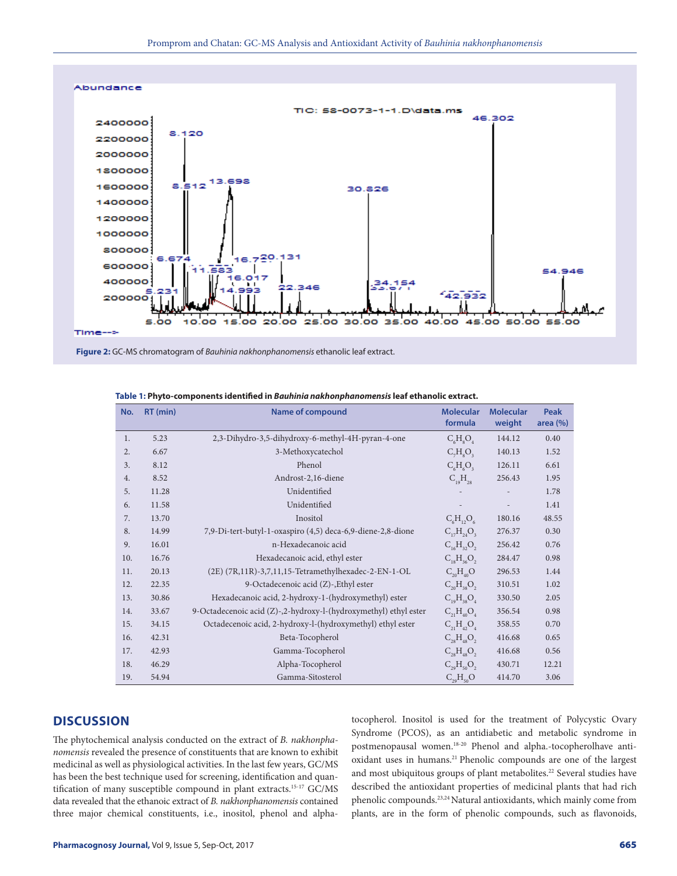

**Figure 2:** GC-MS chromatogram of *Bauhinia nakhonphanomensis* ethanolic leaf extract.

| No.              | RT (min) | <b>Name of compound</b>                                          | <b>Molecular</b><br>formula            | <b>Molecular</b><br>weight | <b>Peak</b><br>area $(\%)$ |
|------------------|----------|------------------------------------------------------------------|----------------------------------------|----------------------------|----------------------------|
| 1.               | 5.23     | 2,3-Dihydro-3,5-dihydroxy-6-methyl-4H-pyran-4-one                | $C_6H_8O_4$                            | 144.12                     | 0.40                       |
| $\overline{2}$ . | 6.67     | 3-Methoxycatechol                                                | $C_7H_8O_3$                            | 140.13                     | 1.52                       |
| 3.               | 8.12     | Phenol                                                           | $C_{6}H_{6}O_{3}$                      | 126.11                     | 6.61                       |
| 4.               | 8.52     | Androst-2,16-diene                                               | $C_{19}H_{28}$                         | 256.43                     | 1.95                       |
| 5.               | 11.28    | Unidentified                                                     |                                        |                            | 1.78                       |
| 6.               | 11.58    | Unidentified                                                     |                                        |                            | 1.41                       |
| 7.               | 13.70    | Inositol                                                         | $C_6H_{12}O_6$                         | 180.16                     | 48.55                      |
| 8.               | 14.99    | 7,9-Di-tert-butyl-1-oxaspiro (4,5) deca-6,9-diene-2,8-dione      | $C_{17}H_{24}O_3$                      | 276.37                     | 0.30                       |
| 9.               | 16.01    | n-Hexadecanoic acid                                              | $C_{16}H_{32}O_2$                      | 256.42                     | 0.76                       |
| 10.              | 16.76    | Hexadecanoic acid, ethyl ester                                   | $C_{18}H_{36}O_2$                      | 284.47                     | 0.98                       |
| 11.              | 20.13    | (2E) (7R,11R)-3,7,11,15-Tetramethylhexadec-2-EN-1-OL             | $C_{20}H_{40}O$                        | 296.53                     | 1.44                       |
| 12.              | 22.35    | 9-Octadecenoic acid (Z)-, Ethyl ester                            | $C_{\gamma_0}H_{\gamma_8}O_{\gamma_7}$ | 310.51                     | 1.02                       |
| 13.              | 30.86    | Hexadecanoic acid, 2-hydroxy-1-(hydroxymethyl) ester             | $C_{19}H_{38}O_4$                      | 330.50                     | 2.05                       |
| 14.              | 33.67    | 9-Octadecenoic acid (Z)-,2-hydroxy-l-(hydroxymethyl) ethyl ester | $C_{21}H_{40}O_{4}$                    | 356.54                     | 0.98                       |
| 15.              | 34.15    | Octadecenoic acid, 2-hydroxy-l-(hydroxymethyl) ethyl ester       | $C_{21}H_{42}O_{4}$                    | 358.55                     | 0.70                       |
| 16.              | 42.31    | Beta-Tocopherol                                                  | $C_{28}H_{48}O_2$                      | 416.68                     | 0.65                       |
| 17.              | 42.93    | Gamma-Tocopherol                                                 | $C_{28}H_{48}O_2$                      | 416.68                     | 0.56                       |
| 18.              | 46.29    | Alpha-Tocopherol                                                 | $C_{29}H_{50}O_2$                      | 430.71                     | 12.21                      |
| 19.              | 54.94    | Gamma-Sitosterol                                                 | $C_{29}H_{50}O$                        | 414.70                     | 3.06                       |

**Table 1: Phyto-components identified in** *Bauhinia nakhonphanomensis* **leaf ethanolic extract.**

# **DISCUSSION**

The phytochemical analysis conducted on the extract of *B. nakhonphanomensis* revealed the presence of constituents that are known to exhibit medicinal as well as physiological activities. In the last few years, GC/MS has been the best technique used for screening, identification and quantification of many susceptible compound in plant extracts.15-17 GC/MS data revealed that the ethanoic extract of *B. nakhonphanomensis* contained three major chemical constituents, i.e., inositol, phenol and alphatocopherol. Inositol is used for the treatment of Polycystic Ovary Syndrome (PCOS), as an antidiabetic and metabolic syndrome in postmenopausal women.18-20 Phenol and alpha.-tocopherolhave antioxidant uses in humans.21 Phenolic compounds are one of the largest and most ubiquitous groups of plant metabolites.<sup>22</sup> Several studies have described the antioxidant properties of medicinal plants that had rich phenolic compounds.23,24 Natural antioxidants, which mainly come from plants, are in the form of phenolic compounds, such as flavonoids,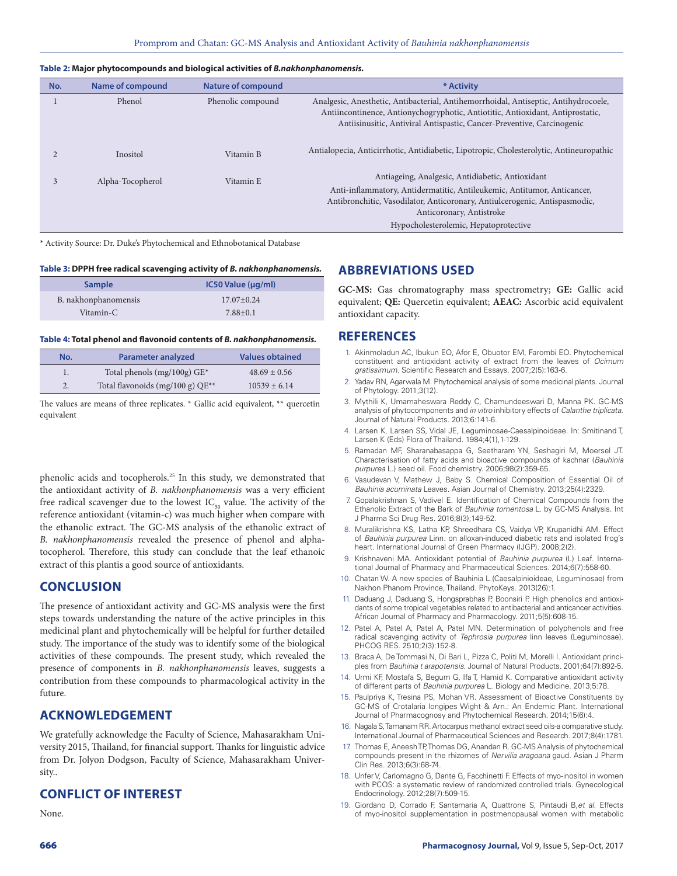#### **Table 2: Major phytocompounds and biological activities of** *B.nakhonphanomensis.*

| No. | <b>Name of compound</b> | <b>Nature of compound</b> | * Activity                                                                                                                                                                                                                                                                     |
|-----|-------------------------|---------------------------|--------------------------------------------------------------------------------------------------------------------------------------------------------------------------------------------------------------------------------------------------------------------------------|
|     | Phenol                  | Phenolic compound         | Analgesic, Anesthetic, Antibacterial, Antihemorrhoidal, Antiseptic, Antihydrocoele,<br>Antiincontinence, Antionychogryphotic, Antiotitic, Antioxidant, Antiprostatic,<br>Antiisinusitic, Antiviral Antispastic, Cancer-Preventive, Carcinogenic                                |
|     | Inositol                | Vitamin B                 | Antialopecia, Anticirrhotic, Antidiabetic, Lipotropic, Cholesterolytic, Antineuropathic                                                                                                                                                                                        |
|     | Alpha-Tocopherol        | Vitamin E                 | Antiageing, Analgesic, Antidiabetic, Antioxidant<br>Anti-inflammatory, Antidermatitic, Antileukemic, Antitumor, Anticancer,<br>Antibronchitic, Vasodilator, Anticoronary, Antiulcerogenic, Antispasmodic,<br>Anticoronary, Antistroke<br>Hypocholesterolemic, Hepatoprotective |

\* Activity Source: Dr. Duke's Phytochemical and Ethnobotanical Database

#### **Table 3: DPPH free radical scavenging activity of** *B. nakhonphanomensis.*

| <b>Sample</b>        | $IC50$ Value ( $\mu$ g/ml) |
|----------------------|----------------------------|
| B. nakhonphanomensis | $17.07+0.24$               |
| Vitamin-C            | $7.88+0.1$                 |

#### **Table 4: Total phenol and flavonoid contents of** *B. nakhonphanomensis.*

| No. | <b>Parameter analyzed</b>          | <b>Values obtained</b> |
|-----|------------------------------------|------------------------|
|     | Total phenols (mg/100g) $GE^*$     | $48.69 \pm 0.56$       |
|     | Total flavonoids (mg/100 g) $QE**$ | $10539 \pm 6.14$       |

The values are means of three replicates. \* Gallic acid equivalent, \*\* quercetin equivalent

phenolic acids and tocopherols.25 In this study, we demonstrated that the antioxidant activity of *B. nakhonphanomensis* was a very efficient free radical scavenger due to the lowest  $IC_{50}$  value. The activity of the reference antioxidant (vitamin-c) was much higher when compare with the ethanolic extract. The GC-MS analysis of the ethanolic extract of *B. nakhonphanomensis* revealed the presence of phenol and alphatocopherol. Therefore, this study can conclude that the leaf ethanoic extract of this plantis a good source of antioxidants.

# **CONCLUSION**

The presence of antioxidant activity and GC-MS analysis were the first steps towards understanding the nature of the active principles in this medicinal plant and phytochemically will be helpful for further detailed study. The importance of the study was to identify some of the biological activities of these compounds. The present study, which revealed the presence of components in *B. nakhonphanomensis* leaves, suggests a contribution from these compounds to pharmacological activity in the future.

# **ACKNOWLEDGEMENT**

We gratefully acknowledge the Faculty of Science, Mahasarakham University 2015, Thailand, for financial support. Thanks for linguistic advice from Dr. Jolyon Dodgson, Faculty of Science, Mahasarakham University..

# **CONFLICT OF INTEREST**

None.

# **ABBREVIATIONS USED**

**GC-MS:** Gas chromatography mass spectrometry; **GE:** Gallic acid equivalent; **QE:** Quercetin equivalent; **AEAC:** Ascorbic acid equivalent antioxidant capacity.

# **REFERENCES**

- 1. Akinmoladun AC, Ibukun EO, Afor E, Obuotor EM, Farombi EO. Phytochemical constituent and antioxidant activity of extract from the leaves of *Ocimum gratissimum*. Scientific Research and Essays. 2007;2(5):163-6.
- 2. Yadav RN, Agarwala M. Phytochemical analysis of some medicinal plants. Journal of Phytology. 2011;3(12).
- 3. Mythili K, Umamaheswara Reddy C, Chamundeeswari D, Manna PK. GC-MS analysis of phytocomponents and *in vitro* inhibitory effects of *Calanthe triplicata*. Journal of Natural Products. 2013;6:141-6.
- 4. Larsen K, Larsen SS, Vidal JE, Leguminosae-Caesalpinoideae. In: Smitinand T, Larsen K (Eds) Flora of Thailand. 1984;4(1),1-129.
- 5. Ramadan MF, Sharanabasappa G, Seetharam YN, Seshagiri M, Moersel JT. Characterisation of fatty acids and bioactive compounds of kachnar (*Bauhinia purpurea* L.) seed oil. Food chemistry. 2006;98(2):359-65.
- 6. Vasudevan V, Mathew J, Baby S. Chemical Composition of Essential Oil of *Bauhinia acuminata* Leaves. Asian Journal of Chemistry. 2013;25(4):2329.
- 7. Gopalakrishnan S, Vadivel E. Identification of Chemical Compounds from the Ethanolic Extract of the Bark of *Bauhinia tomentosa* L. by GC-MS Analysis. Int J Pharma Sci Drug Res*.* 2016;8(3);149-52.
- 8. Muralikrishna KS, Latha KP, Shreedhara CS, Vaidya VP, Krupanidhi AM. Effect of *Bauhinia purpurea* Linn. on alloxan-induced diabetic rats and isolated frog's heart. International Journal of Green Pharmacy (IJGP). 2008;2(2).
- 9. Krishnaveni MA. Antioxidant potential of *Bauhinia purpurea* (L) Leaf. International Journal of Pharmacy and Pharmaceutical Sciences. 2014;6(7):558-60.
- 10. Chatan W. A new species of Bauhinia L.(Caesalpinioideae, Leguminosae) from Nakhon Phanom Province, Thailand. PhytoKeys. 2013(26):1.
- 11. Daduang J, Daduang S, Hongsprabhas P, Boonsiri P. High phenolics and antioxidants of some tropical vegetables related to antibacterial and anticancer activities. African Journal of Pharmacy and Pharmacology. 2011;5(5):608-15.
- 12. Patel A, Patel A, Patel A, Patel MN. Determination of polyphenols and free radical scavenging activity of *Tephrosia purpurea* linn leaves (Leguminosae). PHCOG RES. 2510;2(3):152-8.
- 13. Braca A, De Tommasi N, Di Bari L, Pizza C, Politi M, Morelli I. Antioxidant principles from *Bauhinia t arapotensis*. Journal of Natural Products. 2001;64(7):892-5.
- 14. Urmi KF, Mostafa S, Begum G, Ifa T, Hamid K. Comparative antioxidant activity of different parts of *Bauhinia purpurea* L. Biology and Medicine. 2013;5:78.
- 15. Paulpriya K, Tresina PS, Mohan VR. Assessment of Bioactive Constituents by GC-MS of Crotalaria longipes Wight & Arn.: An Endemic Plant. International Journal of Pharmacognosy and Phytochemical Research. 2014;15(6):4.
- 16. Nagala S, Tamanam RR. Artocarpus methanol extract seed oils-a comparative study. International Journal of Pharmaceutical Sciences and Research. 2017;8(4):1781.
- 17. Thomas E, Aneesh TP, Thomas DG, Anandan R. GC-MS Analysis of phytochemical compounds present in the rhizomes of *Nervilia aragoana* gaud. Asian J Pharm Clin Res. 2013;6(3):68-74.
- 18. Unfer V, Carlomagno G, Dante G, Facchinetti F. Effects of myo-inositol in women with PCOS: a systematic review of randomized controlled trials. Gynecological Endocrinology. 2012;28(7):509-15.
- 19. Giordano D, Corrado F, Santamaria A, Quattrone S, Pintaudi B,*et al*. Effects of myo-inositol supplementation in postmenopausal women with metabolic